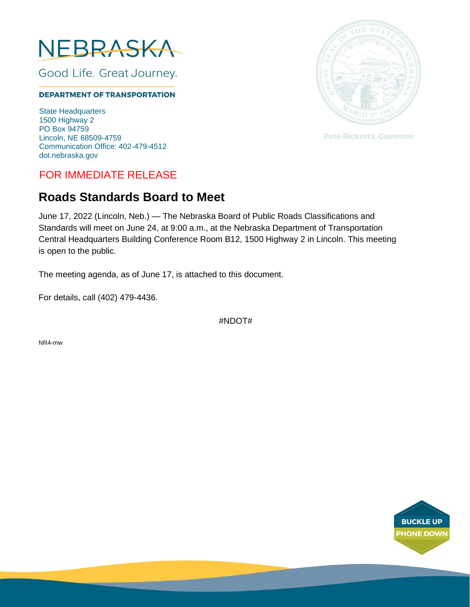

Good Life. Great Journey.

#### **DEPARTMENT OF TRANSPORTATION**

State Headquarters 1500 Highway 2 PO Box 94759 Lincoln, NE 68509-4759 Communication Office: 402-479-4512 dot.nebraska.gov

# FOR IMMEDIATE RELEASE

# **Roads Standards Board to Meet**

June 17, 2022 (Lincoln, Neb.) — The Nebraska Board of Public Roads Classifications and Standards will meet on June 24, at 9:00 a.m., at the Nebraska Department of Transportation Central Headquarters Building Conference Room B12, 1500 Highway 2 in Lincoln. This meeting is open to the public.

The meeting agenda, as of June 17, is attached to this document.

For details, call (402) 479-4436.

#NDOT#

NR4-mw



**Pete Ricketts, Governor**